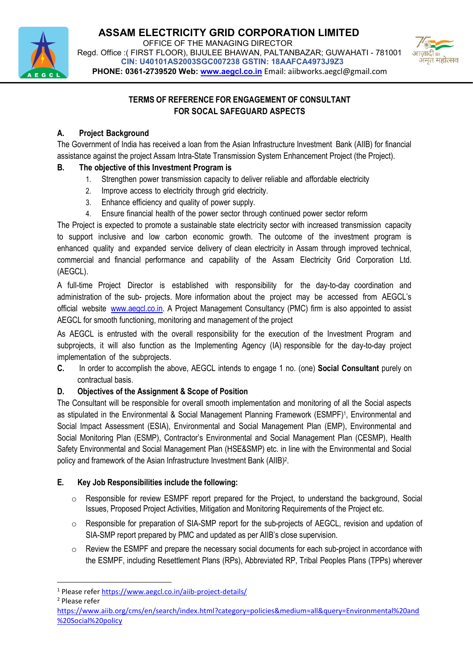



# TERMS OF REFERENCE FOR ENGAGEMENT OF CONSULTANT FOR SOCAL SAFEGUARD ASPECTS

# A. Project Background

The Government of India has received a loan from the Asian Infrastructure Investment Bank (AIIB) for financial assistance against the project Assam Intra-State Transmission System Enhancement Project (the Project).

# B. The objective of this Investment Program is

- 1. Strengthen power transmission capacity to deliver reliable and affordable electricity
- 2. Improve access to electricity through grid electricity.
- 3. Enhance efficiency and quality of power supply.
- 4. Ensure financial health of the power sector through continued power sector reform

The Project is expected to promote a sustainable state electricity sector with increased transmission capacity to support inclusive and low carbon economic growth. The outcome of the investment program is enhanced quality and expanded service delivery of clean electricity in Assam through improved technical, commercial and financial performance and capability of the Assam Electricity Grid Corporation Ltd. (AEGCL).

A full-time Project Director is established with responsibility for the day-to-day coordination and administration of the sub- projects. More information about the project may be accessed from AEGCL's official website www.aegcl.co.in. A Project Management Consultancy (PMC) firm is also appointed to assist AEGCL for smooth functioning, monitoring and management of the project

As AEGCL is entrusted with the overall responsibility for the execution of the Investment Program and subprojects, it will also function as the Implementing Agency (IA) responsible for the day-to-day project implementation of the subprojects.

C. In order to accomplish the above, AEGCL intends to engage 1 no. (one) Social Consultant purely on contractual basis.

## D. Objectives of the Assignment & Scope of Position

The Consultant will be responsible for overall smooth implementation and monitoring of all the Social aspects as stipulated in the Environmental & Social Management Planning Framework (ESMPF)<sup>1</sup>, Environmental and Social Impact Assessment (ESIA), Environmental and Social Management Plan (EMP), Environmental and Social Monitoring Plan (ESMP), Contractor's Environmental and Social Management Plan (CESMP), Health Safety Environmental and Social Management Plan (HSE&SMP) etc. in line with the Environmental and Social policy and framework of the Asian Infrastructure Investment Bank (AIIB)<sup>2</sup>.

## E. Key Job Responsibilities include the following:

- $\circ$  Responsible for review ESMPF report prepared for the Project, to understand the background, Social Issues, Proposed Project Activities, Mitigation and Monitoring Requirements of the Project etc.
- $\circ$  Responsible for preparation of SIA-SMP report for the sub-projects of AEGCL, revision and updation of SIA-SMP report prepared by PMC and updated as per AIIB's close supervision.
- $\circ$  Review the ESMPF and prepare the necessary social documents for each sub-project in accordance with the ESMPF, including Resettlement Plans (RPs), Abbreviated RP, Tribal Peoples Plans (TPPs) wherever

-

<sup>&</sup>lt;sup>1</sup> Please refer https://www.aegcl.co.in/aiib-project-details/

<sup>2</sup> Please refer

https://www.aiib.org/cms/en/search/index.html?category=policies&medium=all&query=Environmental%20and %20Social%20policy